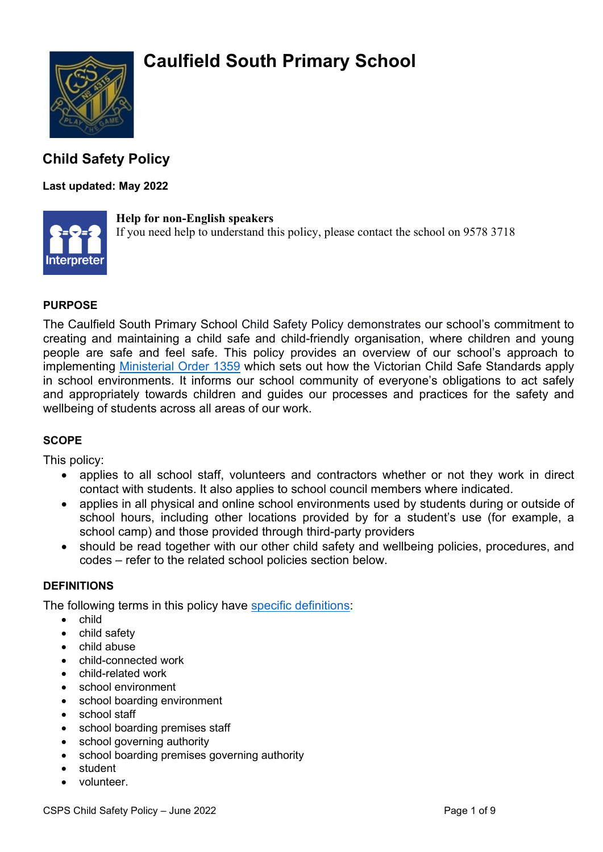# **Caulfield South Primary School**



### **Child Safety Policy**

### **Last updated: May 2022**



#### **Help for non-English speakers**

If you need help to understand this policy, please contact the school on 9578 3718

#### **PURPOSE**

The Caulfield South Primary School Child Safety Policy demonstrates our school's commitment to creating and maintaining a child safe and child-friendly organisation, where children and young people are safe and feel safe. This policy provides an overview of our school's approach to implementing [Ministerial Order 1359](https://www.education.vic.gov.au/Documents/about/programs/health/protect/Ministerial_Order.pdf) which sets out how the Victorian Child Safe Standards apply in school environments. It informs our school community of everyone's obligations to act safely and appropriately towards children and guides our processes and practices for the safety and wellbeing of students across all areas of our work.

#### **SCOPE**

This policy:

- applies to all school staff, volunteers and contractors whether or not they work in direct contact with students. It also applies to school council members where indicated.
- applies in all physical and online school environments used by students during or outside of school hours, including other locations provided by for a student's use (for example, a school camp) and those provided through third-party providers
- should be read together with our other child safety and wellbeing policies, procedures, and codes – refer to the related school policies section below.

#### **DEFINITIONS**

The following terms in this policy have [specific definitions:](https://www.vic.gov.au/child-safe-standards-definitions)

- child
- child safety
- child abuse
- child-connected work
- child-related work
- school environment
- school boarding environment
- school staff
- school boarding premises staff
- school governing authority
- school boarding premises governing authority
- student
- volunteer.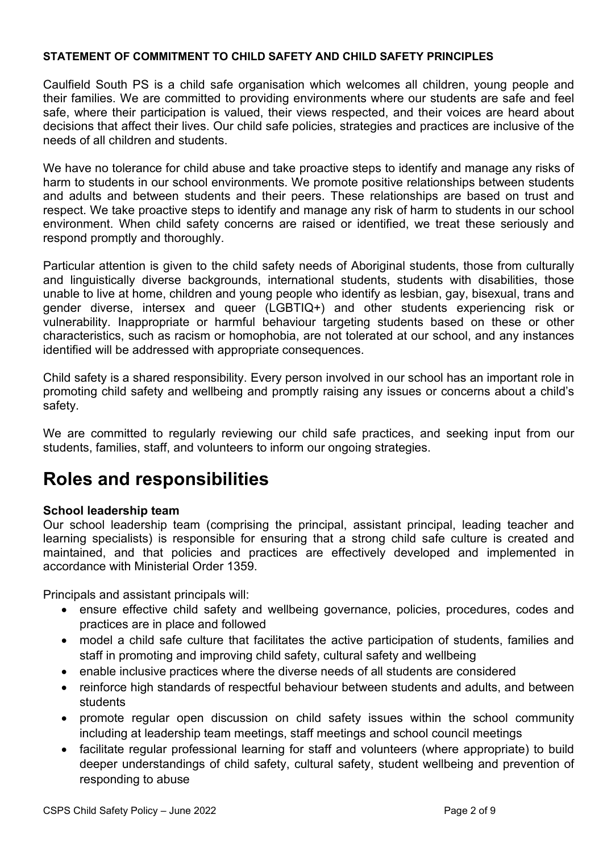#### **STATEMENT OF COMMITMENT TO CHILD SAFETY AND CHILD SAFETY PRINCIPLES**

Caulfield South PS is a child safe organisation which welcomes all children, young people and their families. We are committed to providing environments where our students are safe and feel safe, where their participation is valued, their views respected, and their voices are heard about decisions that affect their lives. Our child safe policies, strategies and practices are inclusive of the needs of all children and students.

We have no tolerance for child abuse and take proactive steps to identify and manage any risks of harm to students in our school environments. We promote positive relationships between students and adults and between students and their peers. These relationships are based on trust and respect. We take proactive steps to identify and manage any risk of harm to students in our school environment. When child safety concerns are raised or identified, we treat these seriously and respond promptly and thoroughly.

Particular attention is given to the child safety needs of Aboriginal students, those from culturally and linguistically diverse backgrounds, international students, students with disabilities, those unable to live at home, children and young people who identify as lesbian, gay, bisexual, trans and gender diverse, intersex and queer (LGBTIQ+) and other students experiencing risk or vulnerability. Inappropriate or harmful behaviour targeting students based on these or other characteristics, such as racism or homophobia, are not tolerated at our school, and any instances identified will be addressed with appropriate consequences.

Child safety is a shared responsibility. Every person involved in our school has an important role in promoting child safety and wellbeing and promptly raising any issues or concerns about a child's safety.

We are committed to regularly reviewing our child safe practices, and seeking input from our students, families, staff, and volunteers to inform our ongoing strategies.

## **Roles and responsibilities**

#### **School leadership team**

Our school leadership team (comprising the principal, assistant principal, leading teacher and learning specialists) is responsible for ensuring that a strong child safe culture is created and maintained, and that policies and practices are effectively developed and implemented in accordance with Ministerial Order 1359.

Principals and assistant principals will:

- ensure effective child safety and wellbeing governance, policies, procedures, codes and practices are in place and followed
- model a child safe culture that facilitates the active participation of students, families and staff in promoting and improving child safety, cultural safety and wellbeing
- enable inclusive practices where the diverse needs of all students are considered
- reinforce high standards of respectful behaviour between students and adults, and between students
- promote regular open discussion on child safety issues within the school community including at leadership team meetings, staff meetings and school council meetings
- facilitate regular professional learning for staff and volunteers (where appropriate) to build deeper understandings of child safety, cultural safety, student wellbeing and prevention of responding to abuse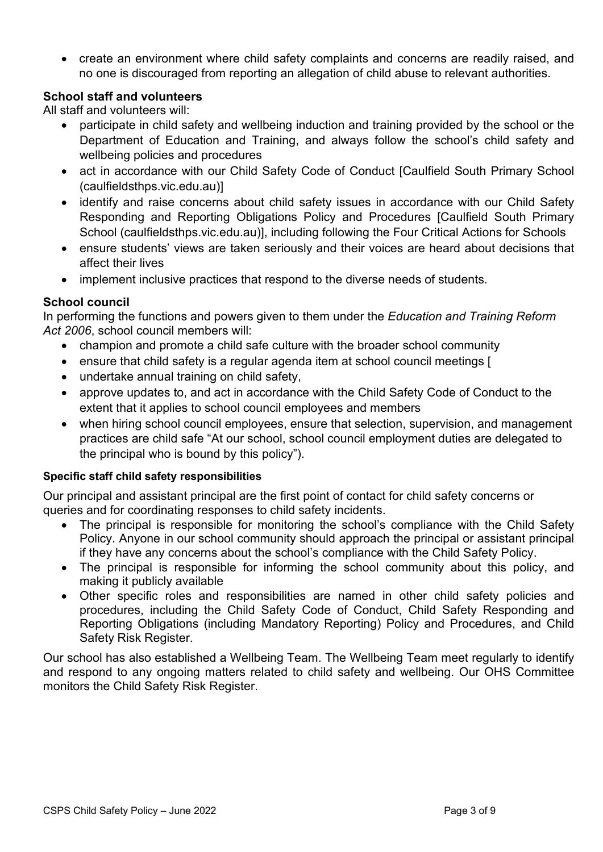• create an environment where child safety complaints and concerns are readily raised, and no one is discouraged from reporting an allegation of child abuse to relevant authorities.

### **School staff and volunteers**

All staff and volunteers will:

- participate in child safety and wellbeing induction and training provided by the school or the Department of Education and Training, and always follow the school's child safety and wellbeing policies and procedures
- act in accordance with our Child Safety Code of Conduct [Caulfield South Primary School [\(caulfieldsthps.vic.edu.au\)\]](https://caulfieldsthps.vic.edu.au/)
- identify and raise concerns about child safety issues in accordance with our Child Safety Responding and Reporting Obligations Policy and Procedures [\[Caulfield South Primary](https://caulfieldsthps.vic.edu.au/)  [School \(caulfieldsthps.vic.edu.au\)\]](https://caulfieldsthps.vic.edu.au/), including following the [Four Critical Actions for Schools](https://www.education.vic.gov.au/school/teachers/health/childprotection/Pages/report.aspx)
- ensure students' views are taken seriously and their voices are heard about decisions that affect their lives
- implement inclusive practices that respond to the diverse needs of students.

#### **School council**

In performing the functions and powers given to them under the *Education and Training Reform Act 2006*, school council members will:

- champion and promote a child safe culture with the broader school community
- ensure that child safety is a regular agenda item at school council meetings [
- undertake annual training on child safety,
- approve updates to, and act in accordance with the Child Safety Code of Conduct to the extent that it applies to school council employees and members
- when hiring school council employees, ensure that selection, supervision, and management practices are child safe "At our school, school council employment duties are delegated to the principal who is bound by this policy").

#### **Specific staff child safety responsibilities**

Our principal and assistant principal are the first point of contact for child safety concerns or queries and for coordinating responses to child safety incidents.

- The principal is responsible for monitoring the school's compliance with the Child Safety Policy. Anyone in our school community should approach the principal or assistant principal if they have any concerns about the school's compliance with the Child Safety Policy.
- The principal is responsible for informing the school community about this policy, and making it publicly available
- Other specific roles and responsibilities are named in other child safety policies and procedures, including the Child Safety Code of Conduct, Child Safety Responding and Reporting Obligations (including Mandatory Reporting) Policy and Procedures, and Child Safety Risk Register.

Our school has also established a Wellbeing Team. The Wellbeing Team meet regularly to identify and respond to any ongoing matters related to child safety and wellbeing. Our OHS Committee monitors the Child Safety Risk Register.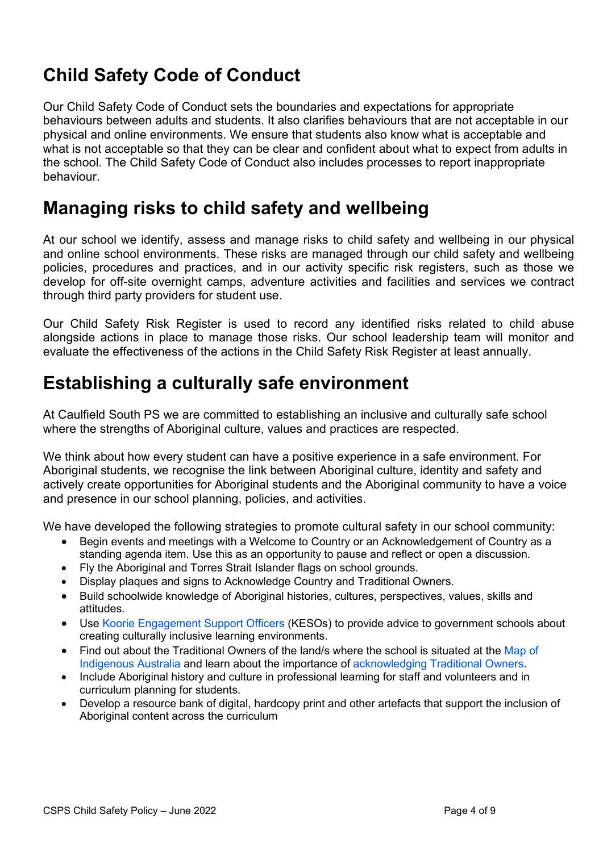# **Child Safety Code of Conduct**

Our Child Safety Code of Conduct sets the boundaries and expectations for appropriate behaviours between adults and students. It also clarifies behaviours that are not acceptable in our physical and online environments. We ensure that students also know what is acceptable and what is not acceptable so that they can be clear and confident about what to expect from adults in the school. The Child Safety Code of Conduct also includes processes to report inappropriate behaviour.

### **Managing risks to child safety and wellbeing**

At our school we identify, assess and manage risks to child safety and wellbeing in our physical and online school environments. These risks are managed through our child safety and wellbeing policies, procedures and practices, and in our activity specific risk registers, such as those we develop for off-site overnight camps, adventure activities and facilities and services we contract through third party providers for student use.

Our Child Safety Risk Register is used to record any identified risks related to child abuse alongside actions in place to manage those risks. Our school leadership team will monitor and evaluate the effectiveness of the actions in the Child Safety Risk Register at least annually.

### **Establishing a culturally safe environment**

At Caulfield South PS we are committed to establishing an inclusive and culturally safe school where the strengths of Aboriginal culture, values and practices are respected.

We think about how every student can have a positive experience in a safe environment. For Aboriginal students, we recognise the link between Aboriginal culture, identity and safety and actively create opportunities for Aboriginal students and the Aboriginal community to have a voice and presence in our school planning, policies, and activities.

We have developed the following strategies to promote cultural safety in our school community:

- Begin events and meetings with a Welcome to Country or an Acknowledgement of Country as a standing agenda item. Use this as an opportunity to pause and reflect or open a discussion.
- Fly the Aboriginal and Torres Strait Islander flags on school grounds.
- Display plaques and signs to Acknowledge Country and Traditional Owners.
- Build schoolwide knowledge of Aboriginal histories, cultures, perspectives, values, skills and attitudes.
- Use [Koorie Engagement Support Officers](https://www.vic.gov.au/koorie-education-coordinator-contact-details) (KESOs) to provide advice to government schools about creating culturally inclusive learning environments.
- Find out about the Traditional Owners of the land/s where the school is situated at the Map of [Indigenous](https://aiatsis.gov.au/explore/map-indigenous-australia) Australia and learn about the importance of [acknowledging Traditional](https://www.indigenous.gov.au/contact-us/welcome_acknowledgement-country) Owners.
- Include Aboriginal history and culture in professional learning for staff and volunteers and in curriculum planning for students.
- Develop a resource bank of digital, hardcopy print and other artefacts that support the inclusion of Aboriginal content across the curriculum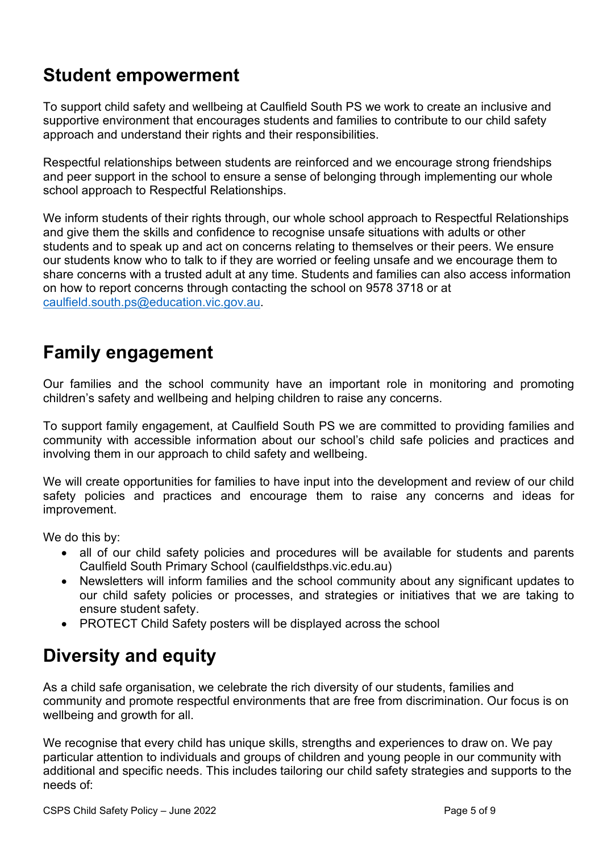## **Student empowerment**

To support child safety and wellbeing at Caulfield South PS we work to create an inclusive and supportive environment that encourages students and families to contribute to our child safety approach and understand their rights and their responsibilities.

Respectful relationships between students are reinforced and we encourage strong friendships and peer support in the school to ensure a sense of belonging through implementing our whole school approach to Respectful Relationships.

We inform students of their rights through, our whole school approach to Respectful Relationships and give them the skills and confidence to recognise unsafe situations with adults or other students and to speak up and act on concerns relating to themselves or their peers. We ensure our students know who to talk to if they are worried or feeling unsafe and we encourage them to share concerns with a trusted adult at any time. Students and families can also access information on how to report concerns through contacting the school on 9578 3718 or at [caulfield.south.ps@education.vic.gov.au.](mailto:caulfield.south.ps@education.vic.gov.au)

## **Family engagement**

Our families and the school community have an important role in monitoring and promoting children's safety and wellbeing and helping children to raise any concerns.

To support family engagement, at Caulfield South PS we are committed to providing families and community with accessible information about our school's child safe policies and practices and involving them in our approach to child safety and wellbeing.

We will create opportunities for families to have input into the development and review of our child safety policies and practices and encourage them to raise any concerns and ideas for improvement.

We do this by:

- all of our child safety policies and procedures will be available for students and parents [Caulfield South Primary School \(caulfieldsthps.vic.edu.au\)](https://caulfieldsthps.vic.edu.au/)
- Newsletters will inform families and the school community about any significant updates to our child safety policies or processes, and strategies or initiatives that we are taking to ensure student safety.
- PROTECT Child Safety posters will be displayed across the school

## **Diversity and equity**

As a child safe organisation, we celebrate the rich diversity of our students, families and community and promote respectful environments that are free from discrimination. Our focus is on wellbeing and growth for all.

We recognise that every child has unique skills, strengths and experiences to draw on. We pay particular attention to individuals and groups of children and young people in our community with additional and specific needs. This includes tailoring our child safety strategies and supports to the needs of: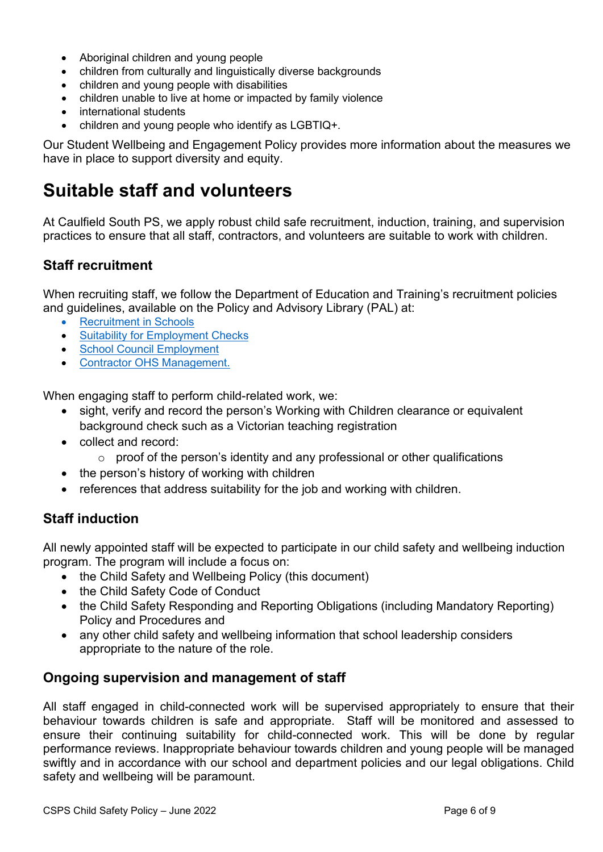- Aboriginal children and young people
- children from culturally and linguistically diverse backgrounds
- children and young people with disabilities
- children unable to live at home or impacted by family violence
- international students
- children and young people who identify as LGBTIQ+.

Our Student Wellbeing and Engagement Policy provides more information about the measures we have in place to support diversity and equity.

### **Suitable staff and volunteers**

At Caulfield South PS, we apply robust child safe recruitment, induction, training, and supervision practices to ensure that all staff, contractors, and volunteers are suitable to work with children.

### **Staff recruitment**

When recruiting staff, we follow the Department of Education and Training's recruitment policies and guidelines, available on the Policy and Advisory Library (PAL) at:

- [Recruitment in Schools](https://www2.education.vic.gov.au/pal/recruitment-schools/overview)
- **[Suitability for Employment Checks](https://www2.education.vic.gov.au/pal/suitability-employment-checks/overview)**
- [School Council Employment](https://www2.education.vic.gov.au/pal/school-council-employment/overview)
- [Contractor OHS Management.](https://www2.education.vic.gov.au/pal/contractor-ohs-management/policy)

When engaging staff to perform child-related work, we:

- sight, verify and record the person's Working with Children clearance or equivalent background check such as a Victorian teaching registration
- collect and record:
	- $\circ$  proof of the person's identity and any professional or other qualifications
- the person's history of working with children
- references that address suitability for the job and working with children.

### **Staff induction**

All newly appointed staff will be expected to participate in our child safety and wellbeing induction program. The program will include a focus on:

- the Child Safety and Wellbeing Policy (this document)
- the Child Safety Code of Conduct
- the Child Safety Responding and Reporting Obligations (including Mandatory Reporting) Policy and Procedures and
- any other child safety and wellbeing information that school leadership considers appropriate to the nature of the role.

### **Ongoing supervision and management of staff**

All staff engaged in child-connected work will be supervised appropriately to ensure that their behaviour towards children is safe and appropriate. Staff will be monitored and assessed to ensure their continuing suitability for child-connected work. This will be done by regular performance reviews. Inappropriate behaviour towards children and young people will be managed swiftly and in accordance with our school and department policies and our legal obligations. Child safety and wellbeing will be paramount.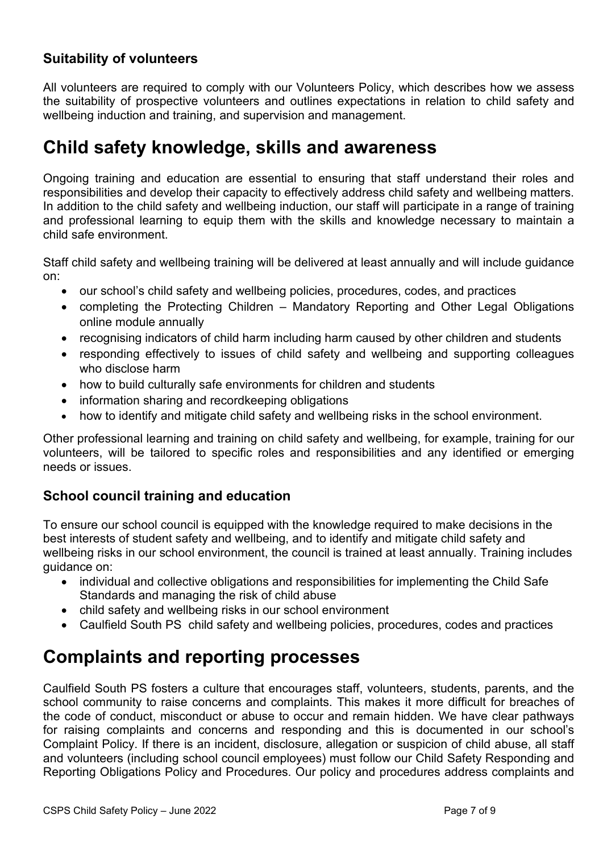### **Suitability of volunteers**

All volunteers are required to comply with our Volunteers Policy, which describes how we assess the suitability of prospective volunteers and outlines expectations in relation to child safety and wellbeing induction and training, and supervision and management.

### **Child safety knowledge, skills and awareness**

Ongoing training and education are essential to ensuring that staff understand their roles and responsibilities and develop their capacity to effectively address child safety and wellbeing matters. In addition to the child safety and wellbeing induction, our staff will participate in a range of training and professional learning to equip them with the skills and knowledge necessary to maintain a child safe environment.

Staff child safety and wellbeing training will be delivered at least annually and will include guidance on:

- our school's child safety and wellbeing policies, procedures, codes, and practices
- completing the Protecting Children [Mandatory Reporting and Other Legal Obligations](http://elearn.com.au/det/protectingchildren/) online module annually
- recognising indicators of child harm including harm caused by other children and students
- responding effectively to issues of child safety and wellbeing and supporting colleagues who disclose harm
- how to build culturally safe environments for children and students
- information sharing and recordkeeping obligations
- how to identify and mitigate child safety and wellbeing risks in the school environment.

Other professional learning and training on child safety and wellbeing, for example, training for our volunteers, will be tailored to specific roles and responsibilities and any identified or emerging needs or issues.

### **School council training and education**

To ensure our school council is equipped with the knowledge required to make decisions in the best interests of student safety and wellbeing, and to identify and mitigate child safety and wellbeing risks in our school environment, the council is trained at least annually. Training includes guidance on:

- individual and collective obligations and responsibilities for implementing the Child Safe Standards and managing the risk of child abuse
- child safety and wellbeing risks in our school environment
- Caulfield South PS child safety and wellbeing policies, procedures, codes and practices

### **Complaints and reporting processes**

Caulfield South PS fosters a culture that encourages staff, volunteers, students, parents, and the school community to raise concerns and complaints. This makes it more difficult for breaches of the code of conduct, misconduct or abuse to occur and remain hidden. We have clear pathways for raising complaints and concerns and responding and this is documented in our school's Complaint Policy. If there is an incident, disclosure, allegation or suspicion of child abuse, all staff and volunteers (including school council employees) must follow our Child Safety Responding and Reporting Obligations Policy and Procedures. Our policy and procedures address complaints and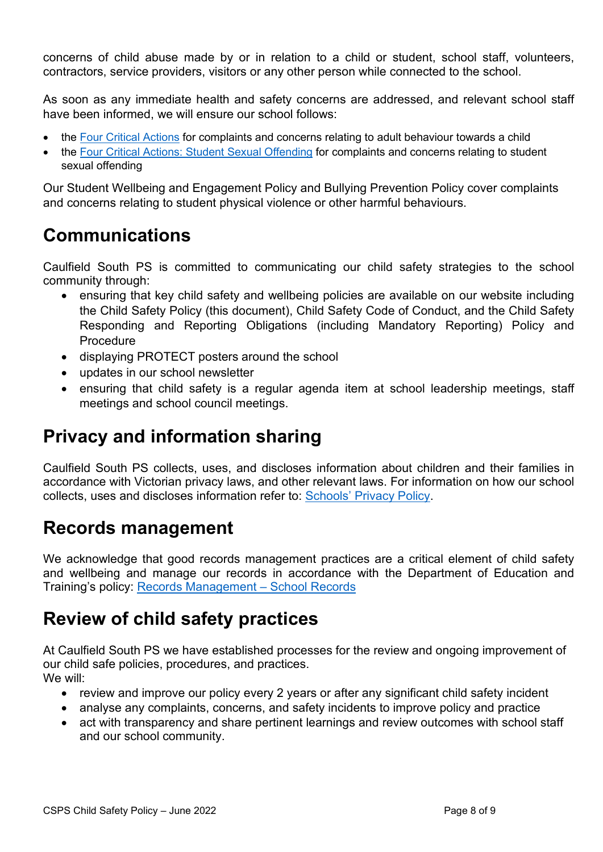concerns of child abuse made by or in relation to a child or student, school staff, volunteers, contractors, service providers, visitors or any other person while connected to the school.

As soon as any immediate health and safety concerns are addressed, and relevant school staff have been informed, we will ensure our school follows:

- the [Four Critical Actions](https://www.education.vic.gov.au/Documents/about/programs/health/protect/FourCriticalActions_ChildAbuse.pdf) for complaints and concerns relating to adult behaviour towards a child
- the [Four Critical Actions: Student Sexual Offending](https://www.education.vic.gov.au/school/teachers/health/childprotection/Pages/stusexual.aspx) for complaints and concerns relating to student sexual offending

Our Student Wellbeing and Engagement Policy and Bullying Prevention Policy cover complaints and concerns relating to student physical violence or other harmful behaviours.

# **Communications**

Caulfield South PS is committed to communicating our child safety strategies to the school community through:

- ensuring that key child safety and wellbeing policies are available on our website including the Child Safety Policy (this document), Child Safety Code of Conduct, and the Child Safety Responding and Reporting Obligations (including Mandatory Reporting) Policy and Procedure
- displaying PROTECT posters around the school
- updates in our school newsletter
- ensuring that child safety is a regular agenda item at school leadership meetings, staff meetings and school council meetings.

# **Privacy and information sharing**

Caulfield South PS collects, uses, and discloses information about children and their families in accordance with Victorian privacy laws, and other relevant laws. For information on how our school collects, uses and discloses information refer to: [Schools' Privacy Policy.](https://www.education.vic.gov.au/Pages/schoolsprivacypolicy.aspx)

# **Records management**

We acknowledge that good records management practices are a critical element of child safety and wellbeing and manage our records in accordance with the Department of Education and Training's policy: [Records Management – School Records](https://www2.education.vic.gov.au/pal/records-management/policy)

## **Review of child safety practices**

At Caulfield South PS we have established processes for the review and ongoing improvement of our child safe policies, procedures, and practices. We will:

- review and improve our policy every 2 years or after any significant child safety incident
- analyse any complaints, concerns, and safety incidents to improve policy and practice
- act with transparency and share pertinent learnings and review outcomes with school staff and our school community.